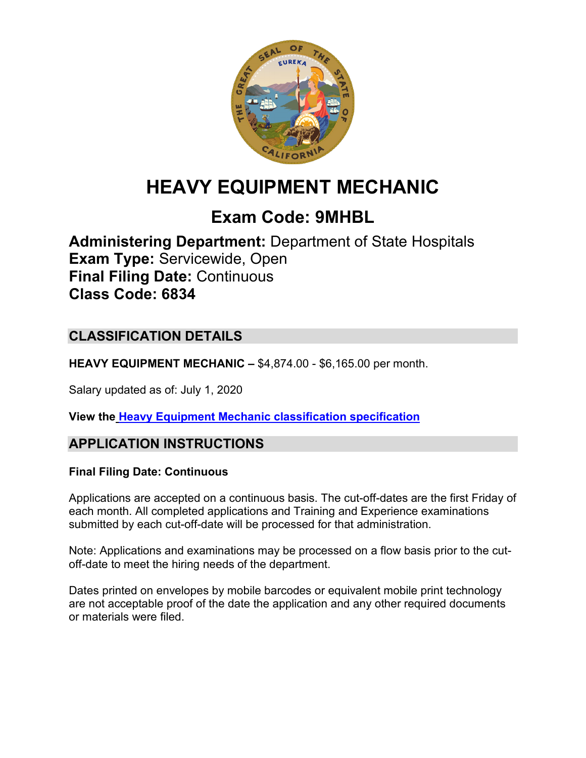

# **HEAVY EQUIPMENT MECHANIC**

## **Exam Code: 9MHBL**

**Administering Department:** Department of State Hospitals **Exam Type:** Servicewide, Open **Final Filing Date:** Continuous **Class Code: 6834**

### **CLASSIFICATION DETAILS**

**HEAVY EQUIPMENT MECHANIC –** \$4,874.00 - \$6,165.00 per month.

Salary updated as of: July 1, 2020

**View the [Heavy Equipment Mechanic](https://hrnet.calhr.ca.gov/CalHRNet/SpecCrossReference.aspx?ClassID=6834) classification specification**

### **APPLICATION INSTRUCTIONS**

#### **Final Filing Date: Continuous**

Applications are accepted on a continuous basis. The cut-off-dates are the first Friday of each month. All completed applications and Training and Experience examinations submitted by each cut-off-date will be processed for that administration.

Note: Applications and examinations may be processed on a flow basis prior to the cutoff-date to meet the hiring needs of the department.

Dates printed on envelopes by mobile barcodes or equivalent mobile print technology are not acceptable proof of the date the application and any other required documents or materials were filed.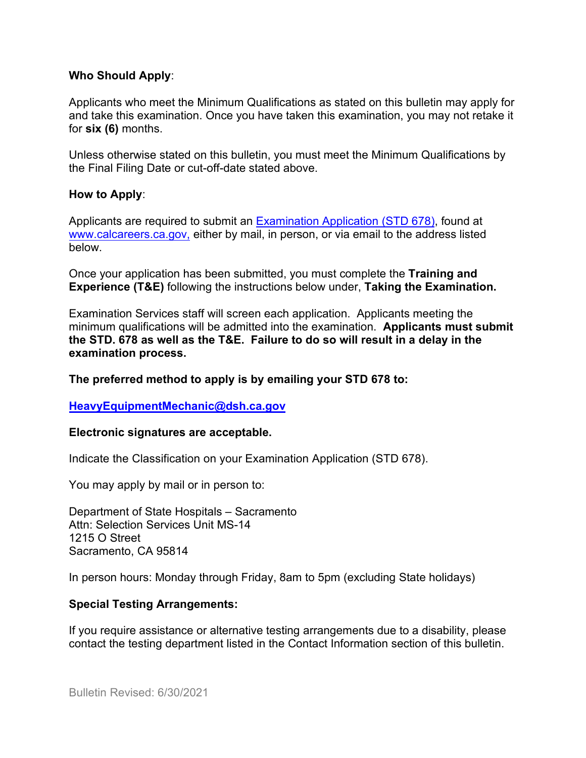#### **Who Should Apply**:

Applicants who meet the Minimum Qualifications as stated on this bulletin may apply for and take this examination. Once you have taken this examination, you may not retake it for **six (6)** months.

Unless otherwise stated on this bulletin, you must meet the Minimum Qualifications by the Final Filing Date or cut-off-date stated above.

#### **How to Apply**:

Applicants are required to submit a[n Examination Application \(STD 678\),](https://jobs.ca.gov/pdf/std678.pdf) found at [www.calcareers.ca.gov,](http://www.calcareers.ca.gov/) either by mail, in person, or via email to the address listed below.

Once your application has been submitted, you must complete the **Training and Experience (T&E)** following the instructions below under, **Taking the Examination.**

Examination Services staff will screen each application. Applicants meeting the minimum qualifications will be admitted into the examination. **Applicants must submit the STD. 678 as well as the T&E. Failure to do so will result in a delay in the examination process.**

#### **The preferred method to apply is by emailing your STD 678 to:**

#### **[HeavyEquipmentMechanic@dsh.ca.gov](mailto:HeavyEquipmentMechanic@dsh.ca.gov)**

#### **Electronic signatures are acceptable.**

Indicate the Classification on your Examination Application (STD 678).

You may apply by mail or in person to:

Department of State Hospitals – Sacramento Attn: Selection Services Unit MS-14 1215 O Street Sacramento, CA 95814

In person hours: Monday through Friday, 8am to 5pm (excluding State holidays)

#### **Special Testing Arrangements:**

If you require assistance or alternative testing arrangements due to a disability, please contact the testing department listed in the Contact Information section of this bulletin.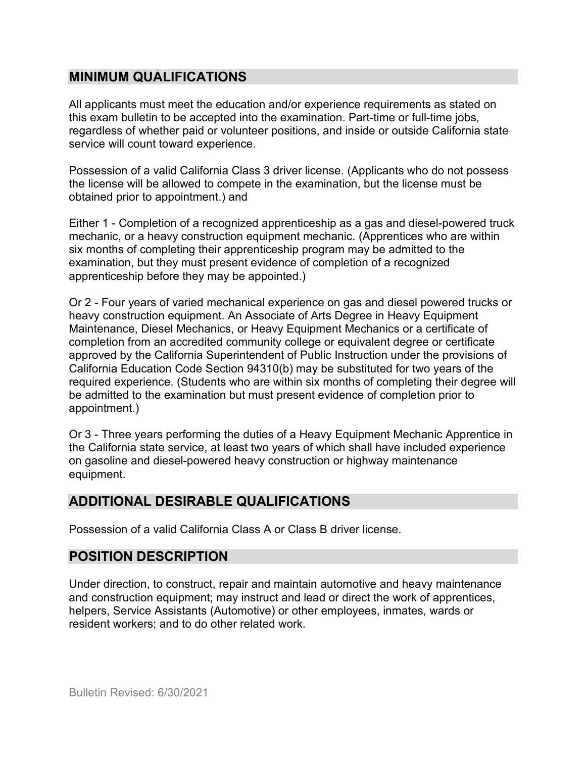#### **MINIMUM QUALIFICATIONS**

All applicants must meet the education and/or experience requirements as stated on this exam bulletin to be accepted into the examination. Part-time or full-time jobs, regardless of whether paid or volunteer positions, and inside or outside California state service will count toward experience.

Possession of a valid California Class 3 driver license. (Applicants who do not possess the license will be allowed to compete in the examination, but the license must be obtained prior to appointment.) and

Either 1 - Completion of a recognized apprenticeship as a gas and diesel-powered truck mechanic, or a heavy construction equipment mechanic. (Apprentices who are within six months of completing their apprenticeship program may be admitted to the examination, but they must present evidence of completion of a recognized apprenticeship before they may be appointed.)

Or 2 - Four years of varied mechanical experience on gas and diesel powered trucks or heavy construction equipment. An Associate of Arts Degree in Heavy Equipment Maintenance, Diesel Mechanics, or Heavy Equipment Mechanics or a certificate of completion from an accredited community college or equivalent degree or certificate approved by the California Superintendent of Public Instruction under the provisions of California Education Code Section 94310(b) may be substituted for two years of the required experience. (Students who are within six months of completing their degree will be admitted to the examination but must present evidence of completion prior to appointment.)

Or 3 - Three years performing the duties of a Heavy Equipment Mechanic Apprentice in the California state service, at least two years of which shall have included experience on gasoline and diesel-powered heavy construction or highway maintenance equipment.

### **ADDITIONAL DESIRABLE QUALIFICATIONS**

Possession of a valid California Class A or Class B driver license.

### **POSITION DESCRIPTION**

Under direction, to construct, repair and maintain automotive and heavy maintenance and construction equipment; may instruct and lead or direct the work of apprentices, helpers, Service Assistants (Automotive) or other employees, inmates, wards or resident workers; and to do other related work.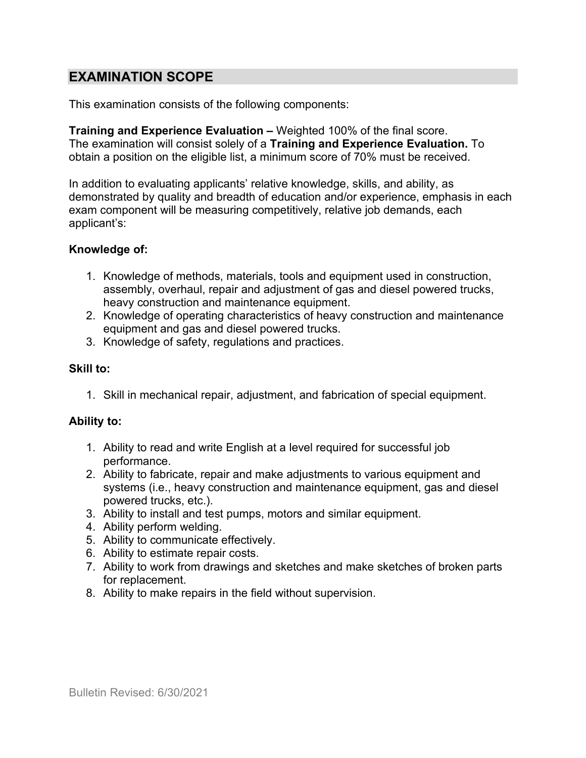### **EXAMINATION SCOPE**

This examination consists of the following components:

**Training and Experience Evaluation –** Weighted 100% of the final score. The examination will consist solely of a **Training and Experience Evaluation.** To obtain a position on the eligible list, a minimum score of 70% must be received.

In addition to evaluating applicants' relative knowledge, skills, and ability, as demonstrated by quality and breadth of education and/or experience, emphasis in each exam component will be measuring competitively, relative job demands, each applicant's:

#### **Knowledge of:**

- 1. Knowledge of methods, materials, tools and equipment used in construction, assembly, overhaul, repair and adjustment of gas and diesel powered trucks, heavy construction and maintenance equipment.
- 2. Knowledge of operating characteristics of heavy construction and maintenance equipment and gas and diesel powered trucks.
- 3. Knowledge of safety, regulations and practices.

#### **Skill to:**

1. Skill in mechanical repair, adjustment, and fabrication of special equipment.

#### **Ability to:**

- 1. Ability to read and write English at a level required for successful job performance.
- 2. Ability to fabricate, repair and make adjustments to various equipment and systems (i.e., heavy construction and maintenance equipment, gas and diesel powered trucks, etc.).
- 3. Ability to install and test pumps, motors and similar equipment.
- 4. Ability perform welding.
- 5. Ability to communicate effectively.
- 6. Ability to estimate repair costs.
- 7. Ability to work from drawings and sketches and make sketches of broken parts for replacement.
- 8. Ability to make repairs in the field without supervision.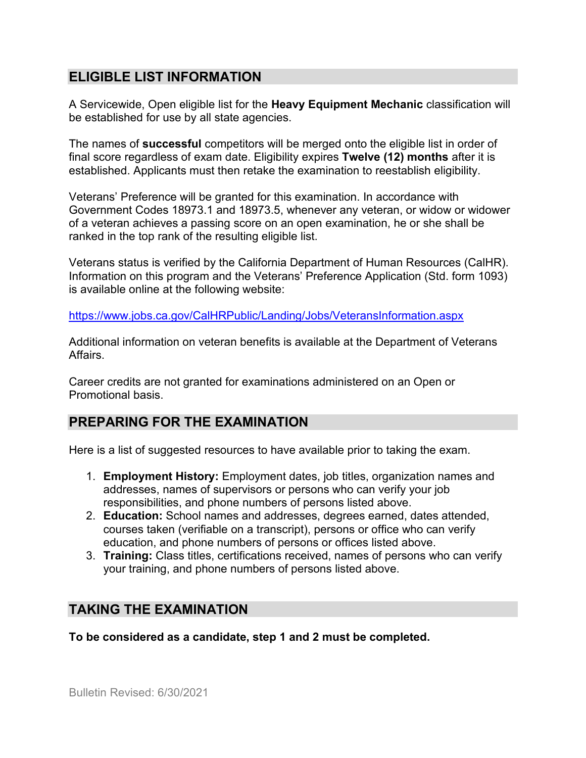### **ELIGIBLE LIST INFORMATION**

A Servicewide, Open eligible list for the **Heavy Equipment Mechanic** classification will be established for use by all state agencies.

The names of **successful** competitors will be merged onto the eligible list in order of final score regardless of exam date. Eligibility expires **Twelve (12) months** after it is established. Applicants must then retake the examination to reestablish eligibility.

Veterans' Preference will be granted for this examination. In accordance with Government Codes 18973.1 and 18973.5, whenever any veteran, or widow or widower of a veteran achieves a passing score on an open examination, he or she shall be ranked in the top rank of the resulting eligible list.

Veterans status is verified by the California Department of Human Resources (CalHR). Information on this program and the Veterans' Preference Application (Std. form 1093) is available online at the following website:

<https://www.jobs.ca.gov/CalHRPublic/Landing/Jobs/VeteransInformation.aspx>

Additional information on veteran benefits is available at the Department of Veterans Affairs.

Career credits are not granted for examinations administered on an Open or Promotional basis.

### **PREPARING FOR THE EXAMINATION**

Here is a list of suggested resources to have available prior to taking the exam.

- 1. **Employment History:** Employment dates, job titles, organization names and addresses, names of supervisors or persons who can verify your job responsibilities, and phone numbers of persons listed above.
- 2. **Education:** School names and addresses, degrees earned, dates attended, courses taken (verifiable on a transcript), persons or office who can verify education, and phone numbers of persons or offices listed above.
- 3. **Training:** Class titles, certifications received, names of persons who can verify your training, and phone numbers of persons listed above.

### **TAKING THE EXAMINATION**

**To be considered as a candidate, step 1 and 2 must be completed.**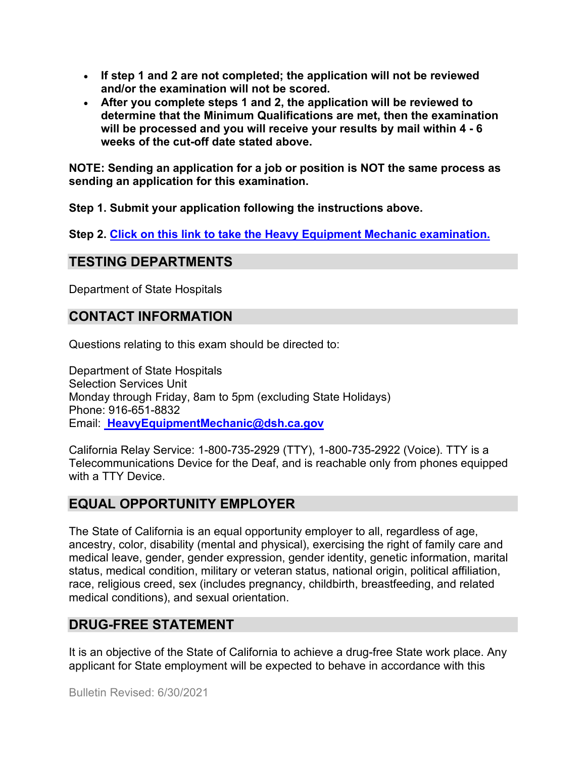- **If step 1 and 2 are not completed; the application will not be reviewed and/or the examination will not be scored.**
- **After you complete steps 1 and 2, the application will be reviewed to determine that the Minimum Qualifications are met, then the examination will be processed and you will receive your results by mail within 4 - 6 weeks of the cut-off date stated above.**

**NOTE: Sending an application for a job or position is NOT the same process as sending an application for this examination.**

**Step 1. Submit your application following the instructions above.**

**Step 2. [Click on this link to take the Heavy Equipment Mechanic](https://www.surveymonkey.com/r/8MFN7HR) examination.**

### **TESTING DEPARTMENTS**

Department of State Hospitals

### **CONTACT INFORMATION**

Questions relating to this exam should be directed to:

Department of State Hospitals Selection Services Unit Monday through Friday, 8am to 5pm (excluding State Holidays) Phone: 916-651-8832 Email: **[HeavyEquipmentMechanic@dsh.ca.gov](mailto:%20HeavyEquipmentMechanic@dsh.ca.gov)**

California Relay Service: 1-800-735-2929 (TTY), 1-800-735-2922 (Voice). TTY is a Telecommunications Device for the Deaf, and is reachable only from phones equipped with a TTY Device.

### **EQUAL OPPORTUNITY EMPLOYER**

The State of California is an equal opportunity employer to all, regardless of age, ancestry, color, disability (mental and physical), exercising the right of family care and medical leave, gender, gender expression, gender identity, genetic information, marital status, medical condition, military or veteran status, national origin, political affiliation, race, religious creed, sex (includes pregnancy, childbirth, breastfeeding, and related medical conditions), and sexual orientation.

### **DRUG-FREE STATEMENT**

It is an objective of the State of California to achieve a drug-free State work place. Any applicant for State employment will be expected to behave in accordance with this